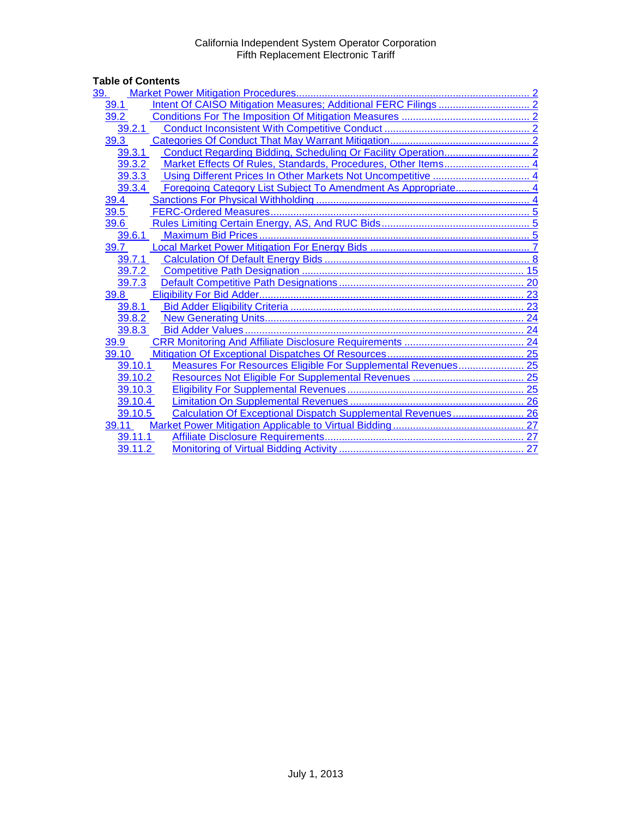# Table of Contents<br>
<u>39. Market Pow</u>

| 39.                                                                     |  |
|-------------------------------------------------------------------------|--|
| 39.1                                                                    |  |
| 39.2                                                                    |  |
| 39.2.1                                                                  |  |
| 39.3                                                                    |  |
| 39.3.1                                                                  |  |
| Market Effects Of Rules, Standards, Procedures, Other Items 4<br>39.3.2 |  |
| 39.3.3                                                                  |  |
| 39.3.4                                                                  |  |
| 39.4                                                                    |  |
| 39.5                                                                    |  |
| 39.6                                                                    |  |
| 39.6.1                                                                  |  |
| 39.7                                                                    |  |
| 39.7.1                                                                  |  |
| 39.7.2                                                                  |  |
| 39.7.3                                                                  |  |
| 39.8                                                                    |  |
| 39.8.1                                                                  |  |
| 39.8.2                                                                  |  |
| 39.8.3                                                                  |  |
| 39.9                                                                    |  |
| 39.10                                                                   |  |
| Measures For Resources Eligible For Supplemental Revenues 25<br>39.10.1 |  |
| 39.10.2                                                                 |  |
| 39.10.3                                                                 |  |
| 39.10.4                                                                 |  |
| Calculation Of Exceptional Dispatch Supplemental Revenues 26<br>39.10.5 |  |
| 39.11                                                                   |  |
| 39.11.1                                                                 |  |
| 39.11.2                                                                 |  |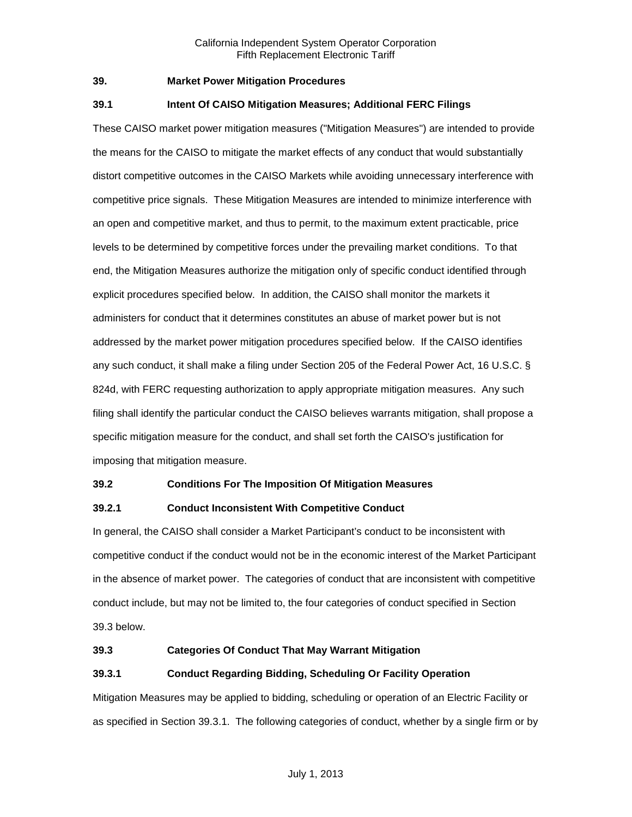# <span id="page-1-0"></span>**39. Market Power Mitigation Procedures**

# <span id="page-1-1"></span>**39.1 Intent Of CAISO Mitigation Measures; Additional FERC Filings**

These CAISO market power mitigation measures ("Mitigation Measures") are intended to provide the means for the CAISO to mitigate the market effects of any conduct that would substantially distort competitive outcomes in the CAISO Markets while avoiding unnecessary interference with competitive price signals. These Mitigation Measures are intended to minimize interference with an open and competitive market, and thus to permit, to the maximum extent practicable, price levels to be determined by competitive forces under the prevailing market conditions. To that end, the Mitigation Measures authorize the mitigation only of specific conduct identified through explicit procedures specified below. In addition, the CAISO shall monitor the markets it administers for conduct that it determines constitutes an abuse of market power but is not addressed by the market power mitigation procedures specified below. If the CAISO identifies any such conduct, it shall make a filing under Section 205 of the Federal Power Act, 16 U.S.C. § 824d, with FERC requesting authorization to apply appropriate mitigation measures. Any such filing shall identify the particular conduct the CAISO believes warrants mitigation, shall propose a specific mitigation measure for the conduct, and shall set forth the CAISO's justification for imposing that mitigation measure.

# <span id="page-1-2"></span>**39.2 Conditions For The Imposition Of Mitigation Measures**

# <span id="page-1-3"></span>**39.2.1 Conduct Inconsistent With Competitive Conduct**

In general, the CAISO shall consider a Market Participant's conduct to be inconsistent with competitive conduct if the conduct would not be in the economic interest of the Market Participant in the absence of market power. The categories of conduct that are inconsistent with competitive conduct include, but may not be limited to, the four categories of conduct specified in Section 39.3 below.

# <span id="page-1-4"></span>**39.3 Categories Of Conduct That May Warrant Mitigation**

# <span id="page-1-5"></span>**39.3.1 Conduct Regarding Bidding, Scheduling Or Facility Operation**

Mitigation Measures may be applied to bidding, scheduling or operation of an Electric Facility or as specified in Section 39.3.1. The following categories of conduct, whether by a single firm or by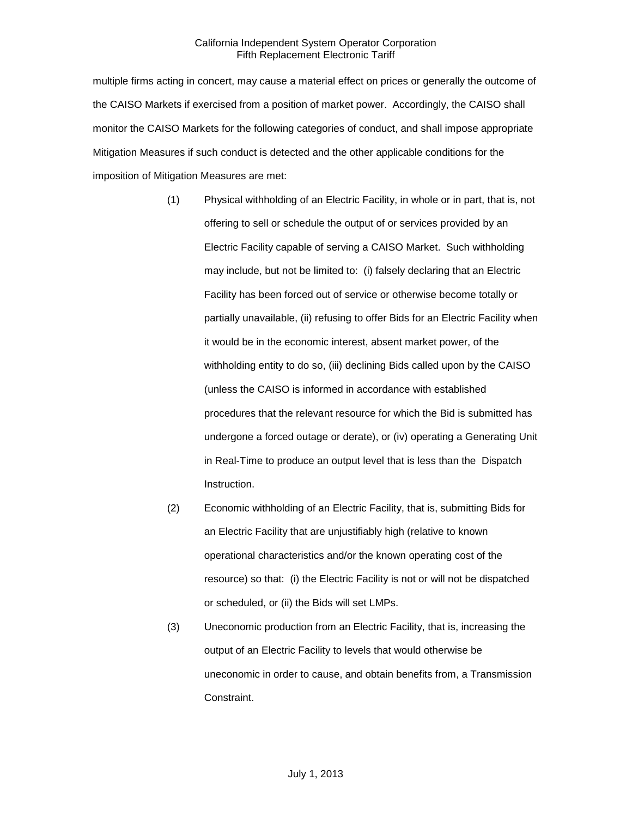multiple firms acting in concert, may cause a material effect on prices or generally the outcome of the CAISO Markets if exercised from a position of market power. Accordingly, the CAISO shall monitor the CAISO Markets for the following categories of conduct, and shall impose appropriate Mitigation Measures if such conduct is detected and the other applicable conditions for the imposition of Mitigation Measures are met:

- (1) Physical withholding of an Electric Facility, in whole or in part, that is, not offering to sell or schedule the output of or services provided by an Electric Facility capable of serving a CAISO Market. Such withholding may include, but not be limited to: (i) falsely declaring that an Electric Facility has been forced out of service or otherwise become totally or partially unavailable, (ii) refusing to offer Bids for an Electric Facility when it would be in the economic interest, absent market power, of the withholding entity to do so, (iii) declining Bids called upon by the CAISO (unless the CAISO is informed in accordance with established procedures that the relevant resource for which the Bid is submitted has undergone a forced outage or derate), or (iv) operating a Generating Unit in Real-Time to produce an output level that is less than the Dispatch Instruction.
- (2) Economic withholding of an Electric Facility, that is, submitting Bids for an Electric Facility that are unjustifiably high (relative to known operational characteristics and/or the known operating cost of the resource) so that: (i) the Electric Facility is not or will not be dispatched or scheduled, or (ii) the Bids will set LMPs.
- (3) Uneconomic production from an Electric Facility, that is, increasing the output of an Electric Facility to levels that would otherwise be uneconomic in order to cause, and obtain benefits from, a Transmission Constraint.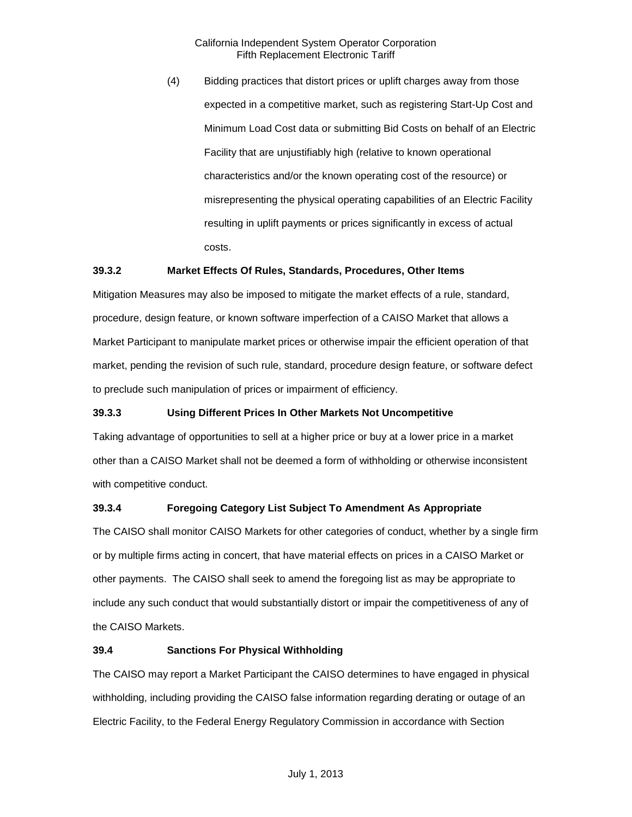(4) Bidding practices that distort prices or uplift charges away from those expected in a competitive market, such as registering Start-Up Cost and Minimum Load Cost data or submitting Bid Costs on behalf of an Electric Facility that are unjustifiably high (relative to known operational characteristics and/or the known operating cost of the resource) or misrepresenting the physical operating capabilities of an Electric Facility resulting in uplift payments or prices significantly in excess of actual costs.

# <span id="page-3-0"></span>**39.3.2 Market Effects Of Rules, Standards, Procedures, Other Items**

Mitigation Measures may also be imposed to mitigate the market effects of a rule, standard, procedure, design feature, or known software imperfection of a CAISO Market that allows a Market Participant to manipulate market prices or otherwise impair the efficient operation of that market, pending the revision of such rule, standard, procedure design feature, or software defect to preclude such manipulation of prices or impairment of efficiency.

# <span id="page-3-1"></span>**39.3.3 Using Different Prices In Other Markets Not Uncompetitive**

Taking advantage of opportunities to sell at a higher price or buy at a lower price in a market other than a CAISO Market shall not be deemed a form of withholding or otherwise inconsistent with competitive conduct.

# <span id="page-3-2"></span>**39.3.4 Foregoing Category List Subject To Amendment As Appropriate**

The CAISO shall monitor CAISO Markets for other categories of conduct, whether by a single firm or by multiple firms acting in concert, that have material effects on prices in a CAISO Market or other payments. The CAISO shall seek to amend the foregoing list as may be appropriate to include any such conduct that would substantially distort or impair the competitiveness of any of the CAISO Markets.

#### <span id="page-3-3"></span>**39.4 Sanctions For Physical Withholding**

The CAISO may report a Market Participant the CAISO determines to have engaged in physical withholding, including providing the CAISO false information regarding derating or outage of an Electric Facility, to the Federal Energy Regulatory Commission in accordance with Section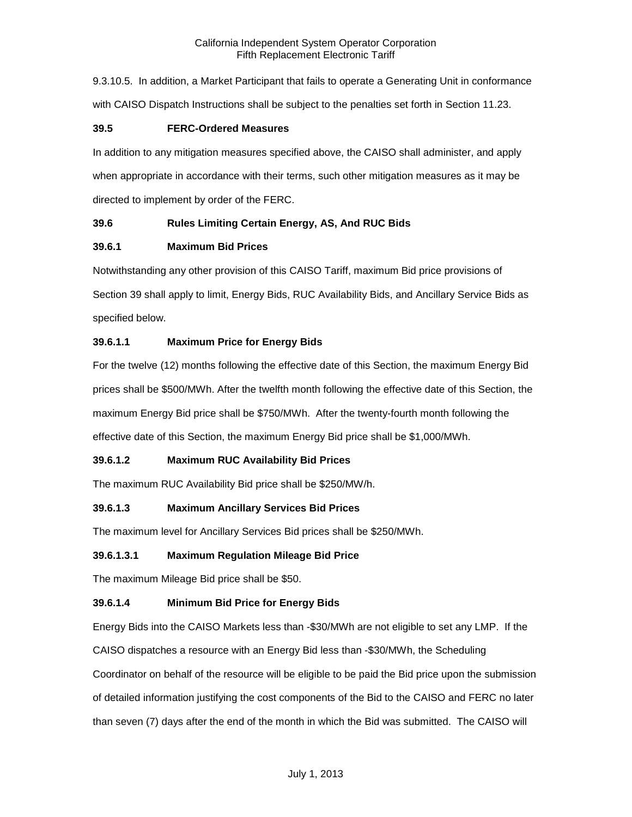9.3.10.5. In addition, a Market Participant that fails to operate a Generating Unit in conformance with CAISO Dispatch Instructions shall be subject to the penalties set forth in Section 11.23.

# <span id="page-4-0"></span>**39.5 FERC-Ordered Measures**

In addition to any mitigation measures specified above, the CAISO shall administer, and apply when appropriate in accordance with their terms, such other mitigation measures as it may be directed to implement by order of the FERC.

# <span id="page-4-1"></span>**39.6 Rules Limiting Certain Energy, AS, And RUC Bids**

# <span id="page-4-2"></span>**39.6.1 Maximum Bid Prices**

Notwithstanding any other provision of this CAISO Tariff, maximum Bid price provisions of Section 39 shall apply to limit, Energy Bids, RUC Availability Bids, and Ancillary Service Bids as specified below.

# **39.6.1.1 Maximum Price for Energy Bids**

For the twelve (12) months following the effective date of this Section, the maximum Energy Bid prices shall be \$500/MWh. After the twelfth month following the effective date of this Section, the maximum Energy Bid price shall be \$750/MWh. After the twenty-fourth month following the effective date of this Section, the maximum Energy Bid price shall be \$1,000/MWh.

# **39.6.1.2 Maximum RUC Availability Bid Prices**

The maximum RUC Availability Bid price shall be \$250/MW/h.

# **39.6.1.3 Maximum Ancillary Services Bid Prices**

The maximum level for Ancillary Services Bid prices shall be \$250/MWh.

# **39.6.1.3.1 Maximum Regulation Mileage Bid Price**

The maximum Mileage Bid price shall be \$50.

# **39.6.1.4 Minimum Bid Price for Energy Bids**

Energy Bids into the CAISO Markets less than -\$30/MWh are not eligible to set any LMP. If the CAISO dispatches a resource with an Energy Bid less than -\$30/MWh, the Scheduling

Coordinator on behalf of the resource will be eligible to be paid the Bid price upon the submission of detailed information justifying the cost components of the Bid to the CAISO and FERC no later than seven (7) days after the end of the month in which the Bid was submitted. The CAISO will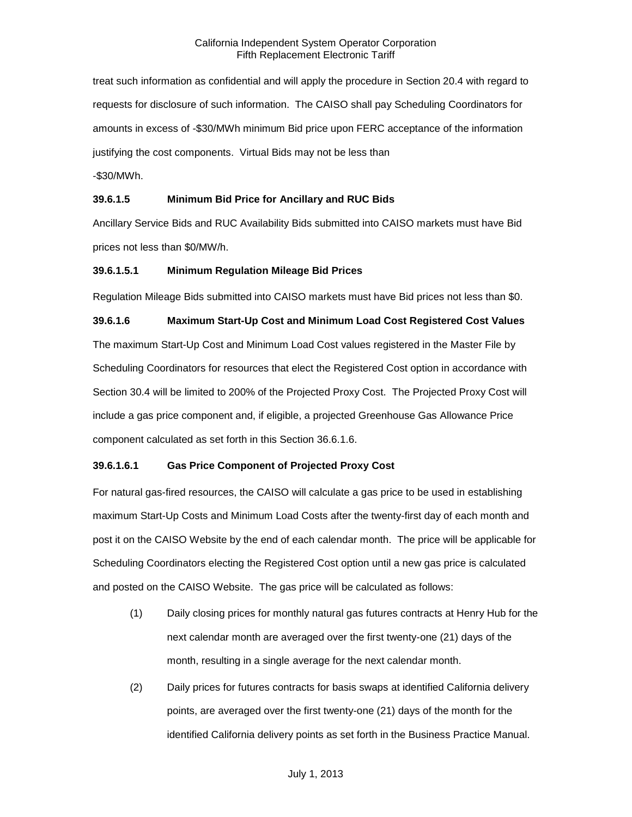treat such information as confidential and will apply the procedure in Section 20.4 with regard to requests for disclosure of such information. The CAISO shall pay Scheduling Coordinators for amounts in excess of -\$30/MWh minimum Bid price upon FERC acceptance of the information justifying the cost components. Virtual Bids may not be less than

-\$30/MWh.

# **39.6.1.5 Minimum Bid Price for Ancillary and RUC Bids**

Ancillary Service Bids and RUC Availability Bids submitted into CAISO markets must have Bid prices not less than \$0/MW/h.

#### **39.6.1.5.1 Minimum Regulation Mileage Bid Prices**

Regulation Mileage Bids submitted into CAISO markets must have Bid prices not less than \$0.

**39.6.1.6 Maximum Start-Up Cost and Minimum Load Cost Registered Cost Values** The maximum Start-Up Cost and Minimum Load Cost values registered in the Master File by Scheduling Coordinators for resources that elect the Registered Cost option in accordance with Section 30.4 will be limited to 200% of the Projected Proxy Cost. The Projected Proxy Cost will include a gas price component and, if eligible, a projected Greenhouse Gas Allowance Price component calculated as set forth in this Section 36.6.1.6.

# **39.6.1.6.1 Gas Price Component of Projected Proxy Cost**

For natural gas-fired resources, the CAISO will calculate a gas price to be used in establishing maximum Start-Up Costs and Minimum Load Costs after the twenty-first day of each month and post it on the CAISO Website by the end of each calendar month. The price will be applicable for Scheduling Coordinators electing the Registered Cost option until a new gas price is calculated and posted on the CAISO Website. The gas price will be calculated as follows:

- (1) Daily closing prices for monthly natural gas futures contracts at Henry Hub for the next calendar month are averaged over the first twenty-one (21) days of the month, resulting in a single average for the next calendar month.
- (2) Daily prices for futures contracts for basis swaps at identified California delivery points, are averaged over the first twenty-one (21) days of the month for the identified California delivery points as set forth in the Business Practice Manual.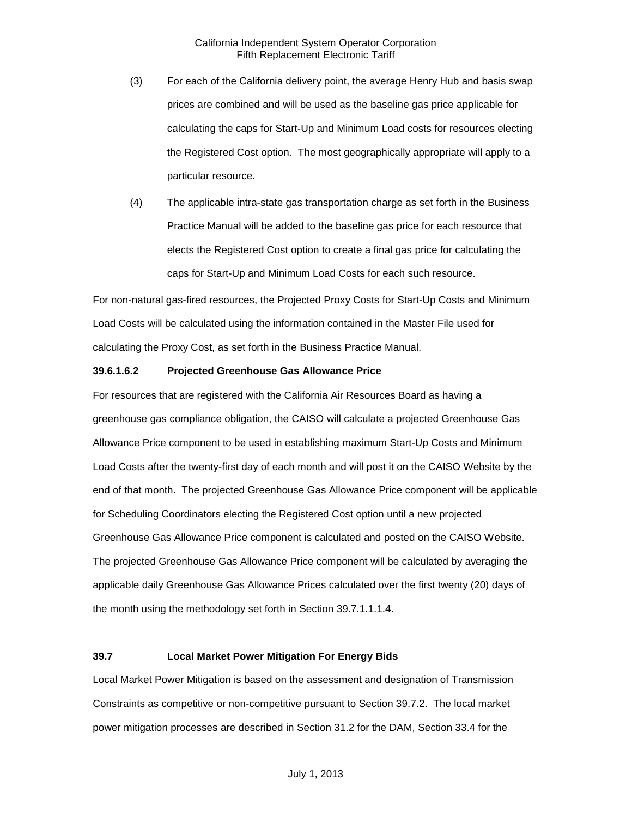- (3) For each of the California delivery point, the average Henry Hub and basis swap prices are combined and will be used as the baseline gas price applicable for calculating the caps for Start-Up and Minimum Load costs for resources electing the Registered Cost option. The most geographically appropriate will apply to a particular resource.
- (4) The applicable intra-state gas transportation charge as set forth in the Business Practice Manual will be added to the baseline gas price for each resource that elects the Registered Cost option to create a final gas price for calculating the caps for Start-Up and Minimum Load Costs for each such resource.

For non-natural gas-fired resources, the Projected Proxy Costs for Start-Up Costs and Minimum Load Costs will be calculated using the information contained in the Master File used for calculating the Proxy Cost, as set forth in the Business Practice Manual.

## **39.6.1.6.2 Projected Greenhouse Gas Allowance Price**

For resources that are registered with the California Air Resources Board as having a greenhouse gas compliance obligation, the CAISO will calculate a projected Greenhouse Gas Allowance Price component to be used in establishing maximum Start-Up Costs and Minimum Load Costs after the twenty-first day of each month and will post it on the CAISO Website by the end of that month. The projected Greenhouse Gas Allowance Price component will be applicable for Scheduling Coordinators electing the Registered Cost option until a new projected Greenhouse Gas Allowance Price component is calculated and posted on the CAISO Website. The projected Greenhouse Gas Allowance Price component will be calculated by averaging the applicable daily Greenhouse Gas Allowance Prices calculated over the first twenty (20) days of the month using the methodology set forth in Section 39.7.1.1.1.4.

#### <span id="page-6-0"></span>**39.7 Local Market Power Mitigation For Energy Bids**

Local Market Power Mitigation is based on the assessment and designation of Transmission Constraints as competitive or non-competitive pursuant to Section 39.7.2. The local market power mitigation processes are described in Section 31.2 for the DAM, Section 33.4 for the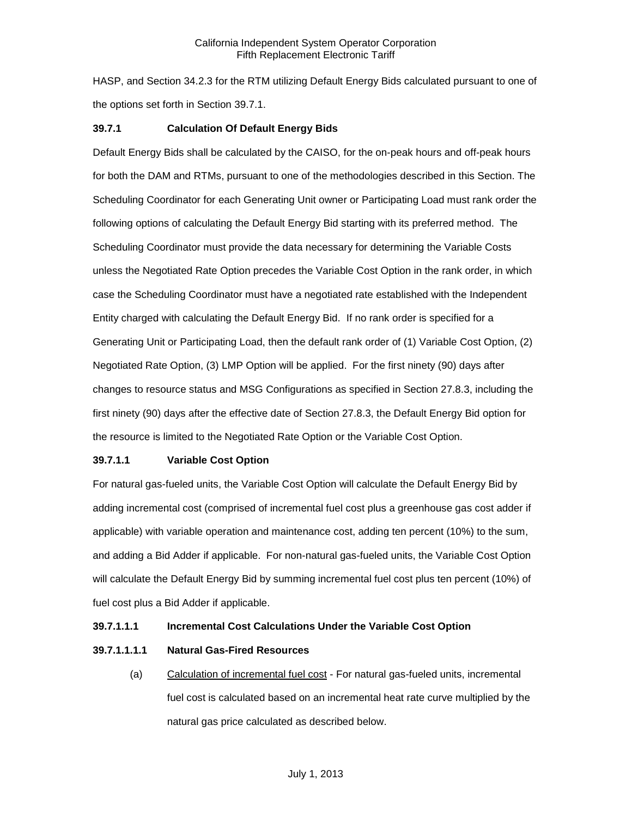HASP, and Section 34.2.3 for the RTM utilizing Default Energy Bids calculated pursuant to one of the options set forth in Section 39.7.1.

## <span id="page-7-0"></span>**39.7.1 Calculation Of Default Energy Bids**

Default Energy Bids shall be calculated by the CAISO, for the on-peak hours and off-peak hours for both the DAM and RTMs, pursuant to one of the methodologies described in this Section. The Scheduling Coordinator for each Generating Unit owner or Participating Load must rank order the following options of calculating the Default Energy Bid starting with its preferred method. The Scheduling Coordinator must provide the data necessary for determining the Variable Costs unless the Negotiated Rate Option precedes the Variable Cost Option in the rank order, in which case the Scheduling Coordinator must have a negotiated rate established with the Independent Entity charged with calculating the Default Energy Bid. If no rank order is specified for a Generating Unit or Participating Load, then the default rank order of (1) Variable Cost Option, (2) Negotiated Rate Option, (3) LMP Option will be applied. For the first ninety (90) days after changes to resource status and MSG Configurations as specified in Section 27.8.3, including the first ninety (90) days after the effective date of Section 27.8.3, the Default Energy Bid option for the resource is limited to the Negotiated Rate Option or the Variable Cost Option.

#### **39.7.1.1 Variable Cost Option**

For natural gas-fueled units, the Variable Cost Option will calculate the Default Energy Bid by adding incremental cost (comprised of incremental fuel cost plus a greenhouse gas cost adder if applicable) with variable operation and maintenance cost, adding ten percent (10%) to the sum, and adding a Bid Adder if applicable. For non-natural gas-fueled units, the Variable Cost Option will calculate the Default Energy Bid by summing incremental fuel cost plus ten percent (10%) of fuel cost plus a Bid Adder if applicable.

#### **39.7.1.1.1 Incremental Cost Calculations Under the Variable Cost Option**

#### **39.7.1.1.1.1 Natural Gas-Fired Resources**

(a) Calculation of incremental fuel cost - For natural gas-fueled units, incremental fuel cost is calculated based on an incremental heat rate curve multiplied by the natural gas price calculated as described below.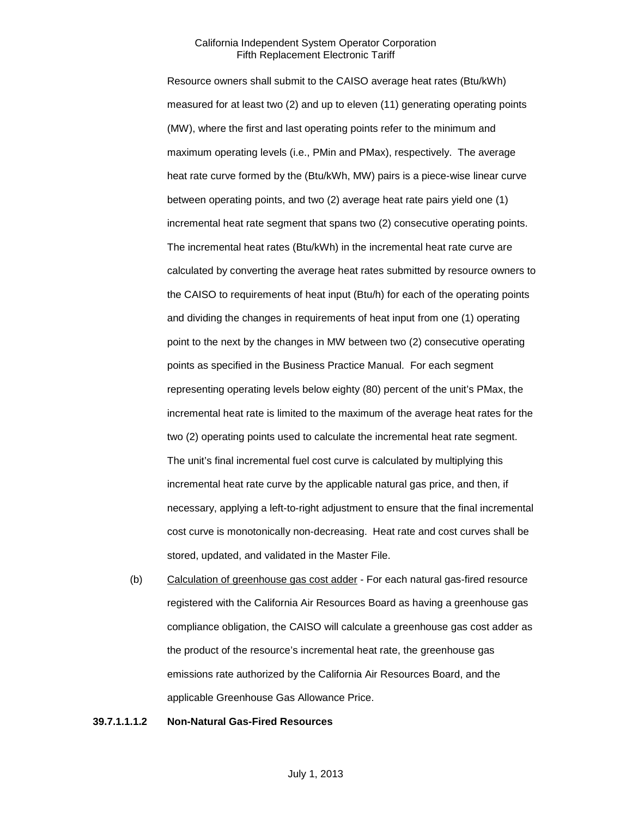Resource owners shall submit to the CAISO average heat rates (Btu/kWh) measured for at least two (2) and up to eleven (11) generating operating points (MW), where the first and last operating points refer to the minimum and maximum operating levels (i.e., PMin and PMax), respectively. The average heat rate curve formed by the (Btu/kWh, MW) pairs is a piece-wise linear curve between operating points, and two (2) average heat rate pairs yield one (1) incremental heat rate segment that spans two (2) consecutive operating points. The incremental heat rates (Btu/kWh) in the incremental heat rate curve are calculated by converting the average heat rates submitted by resource owners to the CAISO to requirements of heat input (Btu/h) for each of the operating points and dividing the changes in requirements of heat input from one (1) operating point to the next by the changes in MW between two (2) consecutive operating points as specified in the Business Practice Manual. For each segment representing operating levels below eighty (80) percent of the unit's PMax, the incremental heat rate is limited to the maximum of the average heat rates for the two (2) operating points used to calculate the incremental heat rate segment. The unit's final incremental fuel cost curve is calculated by multiplying this incremental heat rate curve by the applicable natural gas price, and then, if necessary, applying a left-to-right adjustment to ensure that the final incremental cost curve is monotonically non-decreasing. Heat rate and cost curves shall be stored, updated, and validated in the Master File.

(b) Calculation of greenhouse gas cost adder - For each natural gas-fired resource registered with the California Air Resources Board as having a greenhouse gas compliance obligation, the CAISO will calculate a greenhouse gas cost adder as the product of the resource's incremental heat rate, the greenhouse gas emissions rate authorized by the California Air Resources Board, and the applicable Greenhouse Gas Allowance Price.

### **39.7.1.1.1.2 Non-Natural Gas-Fired Resources**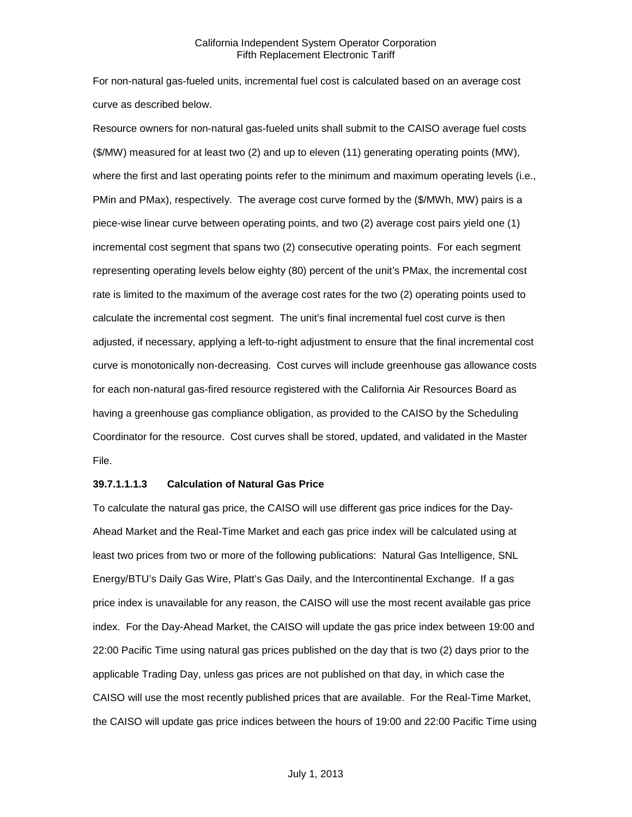For non-natural gas-fueled units, incremental fuel cost is calculated based on an average cost curve as described below.

Resource owners for non-natural gas-fueled units shall submit to the CAISO average fuel costs (\$/MW) measured for at least two (2) and up to eleven (11) generating operating points (MW), where the first and last operating points refer to the minimum and maximum operating levels (i.e., PMin and PMax), respectively. The average cost curve formed by the (\$/MWh, MW) pairs is a piece-wise linear curve between operating points, and two (2) average cost pairs yield one (1) incremental cost segment that spans two (2) consecutive operating points. For each segment representing operating levels below eighty (80) percent of the unit's PMax, the incremental cost rate is limited to the maximum of the average cost rates for the two (2) operating points used to calculate the incremental cost segment. The unit's final incremental fuel cost curve is then adjusted, if necessary, applying a left-to-right adjustment to ensure that the final incremental cost curve is monotonically non-decreasing. Cost curves will include greenhouse gas allowance costs for each non-natural gas-fired resource registered with the California Air Resources Board as having a greenhouse gas compliance obligation, as provided to the CAISO by the Scheduling Coordinator for the resource. Cost curves shall be stored, updated, and validated in the Master File.

## **39.7.1.1.1.3 Calculation of Natural Gas Price**

To calculate the natural gas price, the CAISO will use different gas price indices for the Day-Ahead Market and the Real-Time Market and each gas price index will be calculated using at least two prices from two or more of the following publications: Natural Gas Intelligence, SNL Energy/BTU's Daily Gas Wire, Platt's Gas Daily, and the Intercontinental Exchange. If a gas price index is unavailable for any reason, the CAISO will use the most recent available gas price index. For the Day-Ahead Market, the CAISO will update the gas price index between 19:00 and 22:00 Pacific Time using natural gas prices published on the day that is two (2) days prior to the applicable Trading Day, unless gas prices are not published on that day, in which case the CAISO will use the most recently published prices that are available. For the Real-Time Market, the CAISO will update gas price indices between the hours of 19:00 and 22:00 Pacific Time using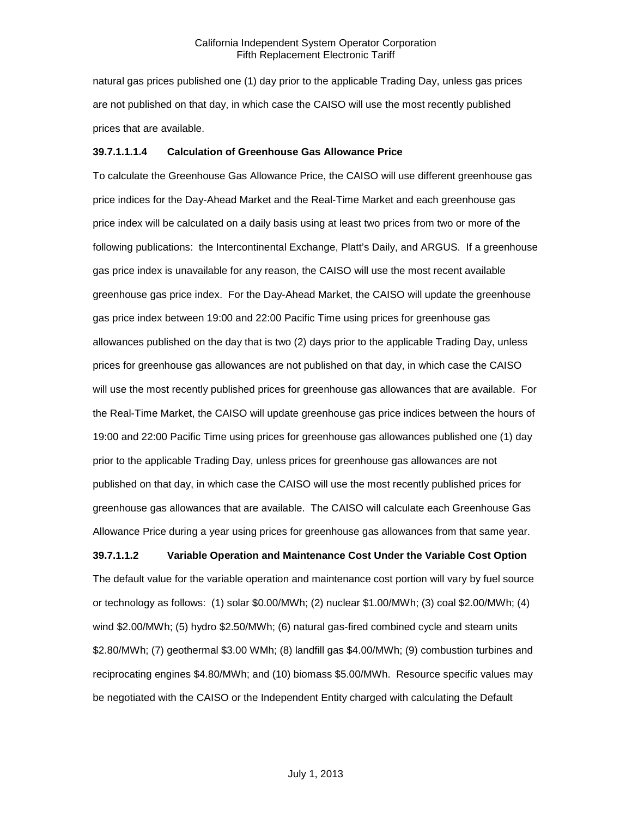natural gas prices published one (1) day prior to the applicable Trading Day, unless gas prices are not published on that day, in which case the CAISO will use the most recently published prices that are available.

#### **39.7.1.1.1.4 Calculation of Greenhouse Gas Allowance Price**

To calculate the Greenhouse Gas Allowance Price, the CAISO will use different greenhouse gas price indices for the Day-Ahead Market and the Real-Time Market and each greenhouse gas price index will be calculated on a daily basis using at least two prices from two or more of the following publications: the Intercontinental Exchange, Platt's Daily, and ARGUS. If a greenhouse gas price index is unavailable for any reason, the CAISO will use the most recent available greenhouse gas price index. For the Day-Ahead Market, the CAISO will update the greenhouse gas price index between 19:00 and 22:00 Pacific Time using prices for greenhouse gas allowances published on the day that is two (2) days prior to the applicable Trading Day, unless prices for greenhouse gas allowances are not published on that day, in which case the CAISO will use the most recently published prices for greenhouse gas allowances that are available. For the Real-Time Market, the CAISO will update greenhouse gas price indices between the hours of 19:00 and 22:00 Pacific Time using prices for greenhouse gas allowances published one (1) day prior to the applicable Trading Day, unless prices for greenhouse gas allowances are not published on that day, in which case the CAISO will use the most recently published prices for greenhouse gas allowances that are available. The CAISO will calculate each Greenhouse Gas Allowance Price during a year using prices for greenhouse gas allowances from that same year.

**39.7.1.1.2 Variable Operation and Maintenance Cost Under the Variable Cost Option**

The default value for the variable operation and maintenance cost portion will vary by fuel source or technology as follows: (1) solar \$0.00/MWh; (2) nuclear \$1.00/MWh; (3) coal \$2.00/MWh; (4) wind \$2.00/MWh; (5) hydro \$2.50/MWh; (6) natural gas-fired combined cycle and steam units \$2.80/MWh; (7) geothermal \$3.00 WMh; (8) landfill gas \$4.00/MWh; (9) combustion turbines and reciprocating engines \$4.80/MWh; and (10) biomass \$5.00/MWh. Resource specific values may be negotiated with the CAISO or the Independent Entity charged with calculating the Default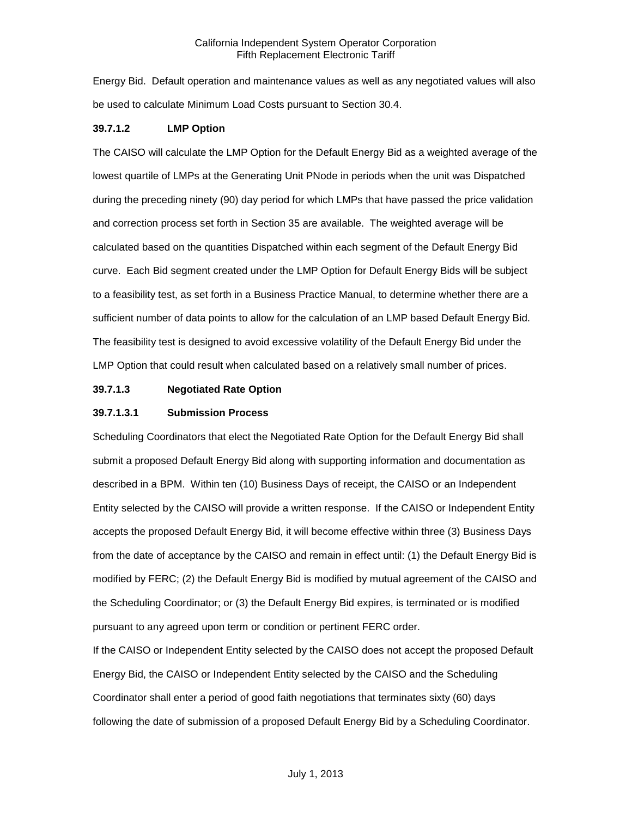Energy Bid. Default operation and maintenance values as well as any negotiated values will also be used to calculate Minimum Load Costs pursuant to Section 30.4.

## **39.7.1.2 LMP Option**

The CAISO will calculate the LMP Option for the Default Energy Bid as a weighted average of the lowest quartile of LMPs at the Generating Unit PNode in periods when the unit was Dispatched during the preceding ninety (90) day period for which LMPs that have passed the price validation and correction process set forth in Section 35 are available. The weighted average will be calculated based on the quantities Dispatched within each segment of the Default Energy Bid curve. Each Bid segment created under the LMP Option for Default Energy Bids will be subject to a feasibility test, as set forth in a Business Practice Manual, to determine whether there are a sufficient number of data points to allow for the calculation of an LMP based Default Energy Bid. The feasibility test is designed to avoid excessive volatility of the Default Energy Bid under the LMP Option that could result when calculated based on a relatively small number of prices.

# **39.7.1.3 Negotiated Rate Option**

#### **39.7.1.3.1 Submission Process**

Scheduling Coordinators that elect the Negotiated Rate Option for the Default Energy Bid shall submit a proposed Default Energy Bid along with supporting information and documentation as described in a BPM. Within ten (10) Business Days of receipt, the CAISO or an Independent Entity selected by the CAISO will provide a written response. If the CAISO or Independent Entity accepts the proposed Default Energy Bid, it will become effective within three (3) Business Days from the date of acceptance by the CAISO and remain in effect until: (1) the Default Energy Bid is modified by FERC; (2) the Default Energy Bid is modified by mutual agreement of the CAISO and the Scheduling Coordinator; or (3) the Default Energy Bid expires, is terminated or is modified pursuant to any agreed upon term or condition or pertinent FERC order.

If the CAISO or Independent Entity selected by the CAISO does not accept the proposed Default Energy Bid, the CAISO or Independent Entity selected by the CAISO and the Scheduling Coordinator shall enter a period of good faith negotiations that terminates sixty (60) days following the date of submission of a proposed Default Energy Bid by a Scheduling Coordinator.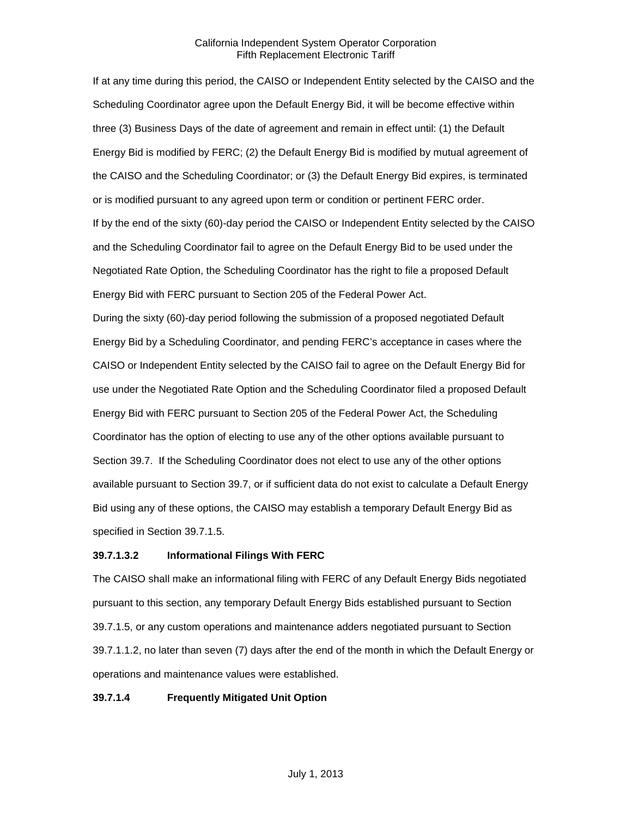If at any time during this period, the CAISO or Independent Entity selected by the CAISO and the Scheduling Coordinator agree upon the Default Energy Bid, it will be become effective within three (3) Business Days of the date of agreement and remain in effect until: (1) the Default Energy Bid is modified by FERC; (2) the Default Energy Bid is modified by mutual agreement of the CAISO and the Scheduling Coordinator; or (3) the Default Energy Bid expires, is terminated or is modified pursuant to any agreed upon term or condition or pertinent FERC order. If by the end of the sixty (60)-day period the CAISO or Independent Entity selected by the CAISO and the Scheduling Coordinator fail to agree on the Default Energy Bid to be used under the Negotiated Rate Option, the Scheduling Coordinator has the right to file a proposed Default Energy Bid with FERC pursuant to Section 205 of the Federal Power Act.

During the sixty (60)-day period following the submission of a proposed negotiated Default Energy Bid by a Scheduling Coordinator, and pending FERC's acceptance in cases where the CAISO or Independent Entity selected by the CAISO fail to agree on the Default Energy Bid for use under the Negotiated Rate Option and the Scheduling Coordinator filed a proposed Default Energy Bid with FERC pursuant to Section 205 of the Federal Power Act, the Scheduling Coordinator has the option of electing to use any of the other options available pursuant to Section 39.7. If the Scheduling Coordinator does not elect to use any of the other options available pursuant to Section 39.7, or if sufficient data do not exist to calculate a Default Energy Bid using any of these options, the CAISO may establish a temporary Default Energy Bid as specified in Section 39.7.1.5.

#### **39.7.1.3.2 Informational Filings With FERC**

The CAISO shall make an informational filing with FERC of any Default Energy Bids negotiated pursuant to this section, any temporary Default Energy Bids established pursuant to Section 39.7.1.5, or any custom operations and maintenance adders negotiated pursuant to Section 39.7.1.1.2, no later than seven (7) days after the end of the month in which the Default Energy or operations and maintenance values were established.

# **39.7.1.4 Frequently Mitigated Unit Option**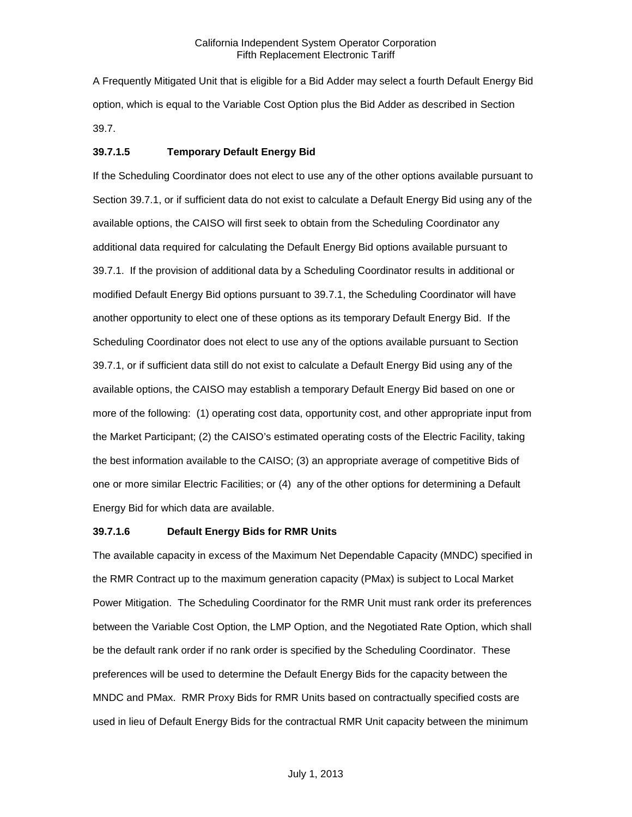A Frequently Mitigated Unit that is eligible for a Bid Adder may select a fourth Default Energy Bid option, which is equal to the Variable Cost Option plus the Bid Adder as described in Section 39.7.

#### **39.7.1.5 Temporary Default Energy Bid**

If the Scheduling Coordinator does not elect to use any of the other options available pursuant to Section 39.7.1, or if sufficient data do not exist to calculate a Default Energy Bid using any of the available options, the CAISO will first seek to obtain from the Scheduling Coordinator any additional data required for calculating the Default Energy Bid options available pursuant to 39.7.1. If the provision of additional data by a Scheduling Coordinator results in additional or modified Default Energy Bid options pursuant to 39.7.1, the Scheduling Coordinator will have another opportunity to elect one of these options as its temporary Default Energy Bid. If the Scheduling Coordinator does not elect to use any of the options available pursuant to Section 39.7.1, or if sufficient data still do not exist to calculate a Default Energy Bid using any of the available options, the CAISO may establish a temporary Default Energy Bid based on one or more of the following: (1) operating cost data, opportunity cost, and other appropriate input from the Market Participant; (2) the CAISO's estimated operating costs of the Electric Facility, taking the best information available to the CAISO; (3) an appropriate average of competitive Bids of one or more similar Electric Facilities; or (4) any of the other options for determining a Default Energy Bid for which data are available.

## **39.7.1.6 Default Energy Bids for RMR Units**

The available capacity in excess of the Maximum Net Dependable Capacity (MNDC) specified in the RMR Contract up to the maximum generation capacity (PMax) is subject to Local Market Power Mitigation. The Scheduling Coordinator for the RMR Unit must rank order its preferences between the Variable Cost Option, the LMP Option, and the Negotiated Rate Option, which shall be the default rank order if no rank order is specified by the Scheduling Coordinator. These preferences will be used to determine the Default Energy Bids for the capacity between the MNDC and PMax. RMR Proxy Bids for RMR Units based on contractually specified costs are used in lieu of Default Energy Bids for the contractual RMR Unit capacity between the minimum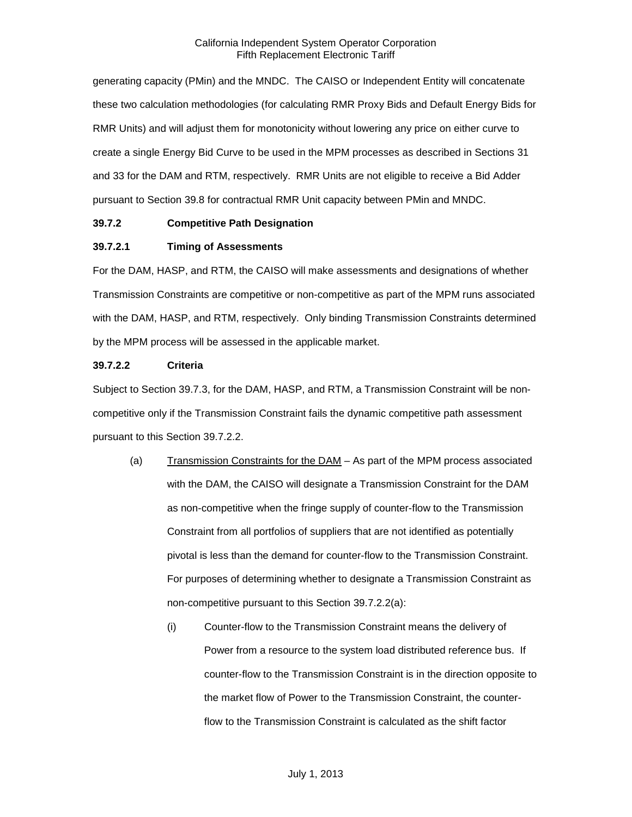generating capacity (PMin) and the MNDC. The CAISO or Independent Entity will concatenate these two calculation methodologies (for calculating RMR Proxy Bids and Default Energy Bids for RMR Units) and will adjust them for monotonicity without lowering any price on either curve to create a single Energy Bid Curve to be used in the MPM processes as described in Sections 31 and 33 for the DAM and RTM, respectively. RMR Units are not eligible to receive a Bid Adder pursuant to Section 39.8 for contractual RMR Unit capacity between PMin and MNDC.

# <span id="page-14-0"></span>**39.7.2 Competitive Path Designation**

# **39.7.2.1 Timing of Assessments**

For the DAM, HASP, and RTM, the CAISO will make assessments and designations of whether Transmission Constraints are competitive or non-competitive as part of the MPM runs associated with the DAM, HASP, and RTM, respectively. Only binding Transmission Constraints determined by the MPM process will be assessed in the applicable market.

# **39.7.2.2 Criteria**

Subject to Section 39.7.3, for the DAM, HASP, and RTM, a Transmission Constraint will be noncompetitive only if the Transmission Constraint fails the dynamic competitive path assessment pursuant to this Section 39.7.2.2.

- (a) Transmission Constraints for the DAM As part of the MPM process associated with the DAM, the CAISO will designate a Transmission Constraint for the DAM as non-competitive when the fringe supply of counter-flow to the Transmission Constraint from all portfolios of suppliers that are not identified as potentially pivotal is less than the demand for counter-flow to the Transmission Constraint. For purposes of determining whether to designate a Transmission Constraint as non-competitive pursuant to this Section 39.7.2.2(a):
	- (i) Counter-flow to the Transmission Constraint means the delivery of Power from a resource to the system load distributed reference bus. If counter-flow to the Transmission Constraint is in the direction opposite to the market flow of Power to the Transmission Constraint, the counterflow to the Transmission Constraint is calculated as the shift factor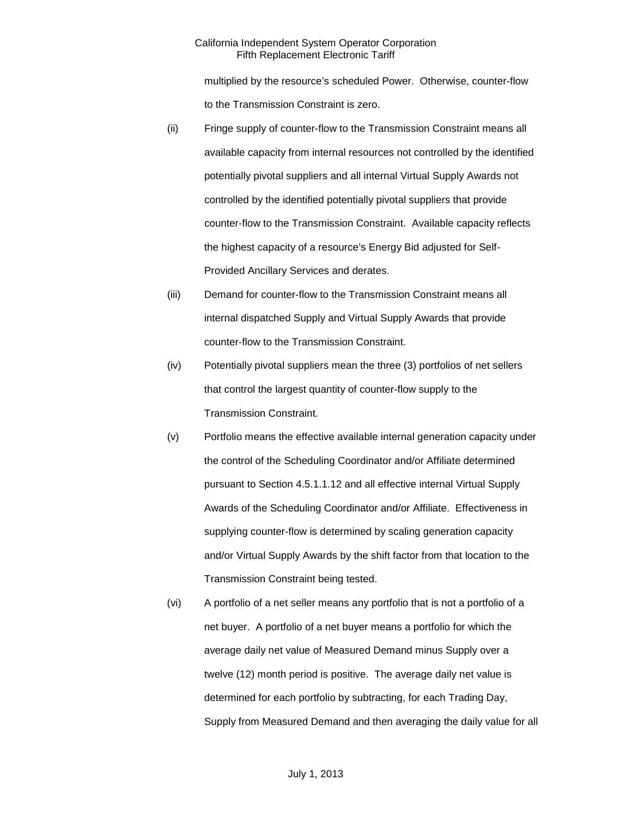multiplied by the resource's scheduled Power. Otherwise, counter-flow to the Transmission Constraint is zero.

- (ii) Fringe supply of counter-flow to the Transmission Constraint means all available capacity from internal resources not controlled by the identified potentially pivotal suppliers and all internal Virtual Supply Awards not controlled by the identified potentially pivotal suppliers that provide counter-flow to the Transmission Constraint. Available capacity reflects the highest capacity of a resource's Energy Bid adjusted for Self-Provided Ancillary Services and derates.
- (iii) Demand for counter-flow to the Transmission Constraint means all internal dispatched Supply and Virtual Supply Awards that provide counter-flow to the Transmission Constraint.
- (iv) Potentially pivotal suppliers mean the three (3) portfolios of net sellers that control the largest quantity of counter-flow supply to the Transmission Constraint.
- (v) Portfolio means the effective available internal generation capacity under the control of the Scheduling Coordinator and/or Affiliate determined pursuant to Section 4.5.1.1.12 and all effective internal Virtual Supply Awards of the Scheduling Coordinator and/or Affiliate. Effectiveness in supplying counter-flow is determined by scaling generation capacity and/or Virtual Supply Awards by the shift factor from that location to the Transmission Constraint being tested.
- (vi) A portfolio of a net seller means any portfolio that is not a portfolio of a net buyer. A portfolio of a net buyer means a portfolio for which the average daily net value of Measured Demand minus Supply over a twelve (12) month period is positive. The average daily net value is determined for each portfolio by subtracting, for each Trading Day, Supply from Measured Demand and then averaging the daily value for all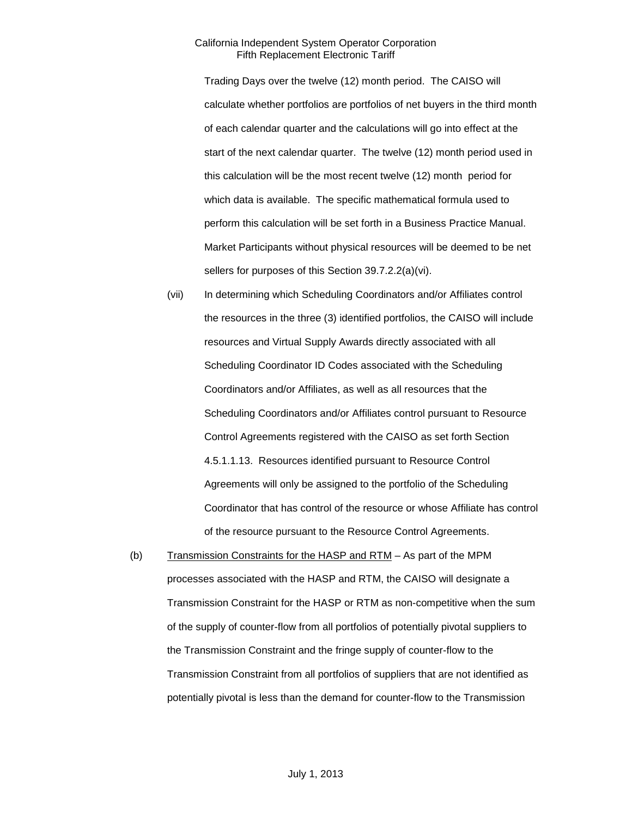Trading Days over the twelve (12) month period. The CAISO will calculate whether portfolios are portfolios of net buyers in the third month of each calendar quarter and the calculations will go into effect at the start of the next calendar quarter. The twelve (12) month period used in this calculation will be the most recent twelve (12) month period for which data is available. The specific mathematical formula used to perform this calculation will be set forth in a Business Practice Manual. Market Participants without physical resources will be deemed to be net sellers for purposes of this Section 39.7.2.2(a)(vi).

- (vii) In determining which Scheduling Coordinators and/or Affiliates control the resources in the three (3) identified portfolios, the CAISO will include resources and Virtual Supply Awards directly associated with all Scheduling Coordinator ID Codes associated with the Scheduling Coordinators and/or Affiliates, as well as all resources that the Scheduling Coordinators and/or Affiliates control pursuant to Resource Control Agreements registered with the CAISO as set forth Section 4.5.1.1.13. Resources identified pursuant to Resource Control Agreements will only be assigned to the portfolio of the Scheduling Coordinator that has control of the resource or whose Affiliate has control of the resource pursuant to the Resource Control Agreements.
- (b) Transmission Constraints for the HASP and RTM As part of the MPM processes associated with the HASP and RTM, the CAISO will designate a Transmission Constraint for the HASP or RTM as non-competitive when the sum of the supply of counter-flow from all portfolios of potentially pivotal suppliers to the Transmission Constraint and the fringe supply of counter-flow to the Transmission Constraint from all portfolios of suppliers that are not identified as potentially pivotal is less than the demand for counter-flow to the Transmission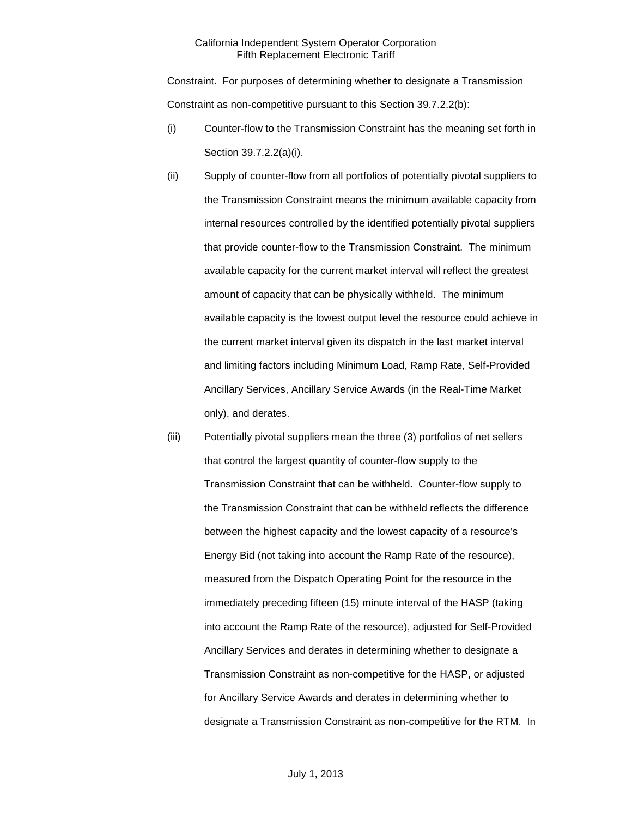Constraint. For purposes of determining whether to designate a Transmission Constraint as non-competitive pursuant to this Section 39.7.2.2(b):

- (i) Counter-flow to the Transmission Constraint has the meaning set forth in Section 39.7.2.2(a)(i).
- (ii) Supply of counter-flow from all portfolios of potentially pivotal suppliers to the Transmission Constraint means the minimum available capacity from internal resources controlled by the identified potentially pivotal suppliers that provide counter-flow to the Transmission Constraint. The minimum available capacity for the current market interval will reflect the greatest amount of capacity that can be physically withheld. The minimum available capacity is the lowest output level the resource could achieve in the current market interval given its dispatch in the last market interval and limiting factors including Minimum Load, Ramp Rate, Self-Provided Ancillary Services, Ancillary Service Awards (in the Real-Time Market only), and derates.
- (iii) Potentially pivotal suppliers mean the three (3) portfolios of net sellers that control the largest quantity of counter-flow supply to the Transmission Constraint that can be withheld. Counter-flow supply to the Transmission Constraint that can be withheld reflects the difference between the highest capacity and the lowest capacity of a resource's Energy Bid (not taking into account the Ramp Rate of the resource), measured from the Dispatch Operating Point for the resource in the immediately preceding fifteen (15) minute interval of the HASP (taking into account the Ramp Rate of the resource), adjusted for Self-Provided Ancillary Services and derates in determining whether to designate a Transmission Constraint as non-competitive for the HASP, or adjusted for Ancillary Service Awards and derates in determining whether to designate a Transmission Constraint as non-competitive for the RTM. In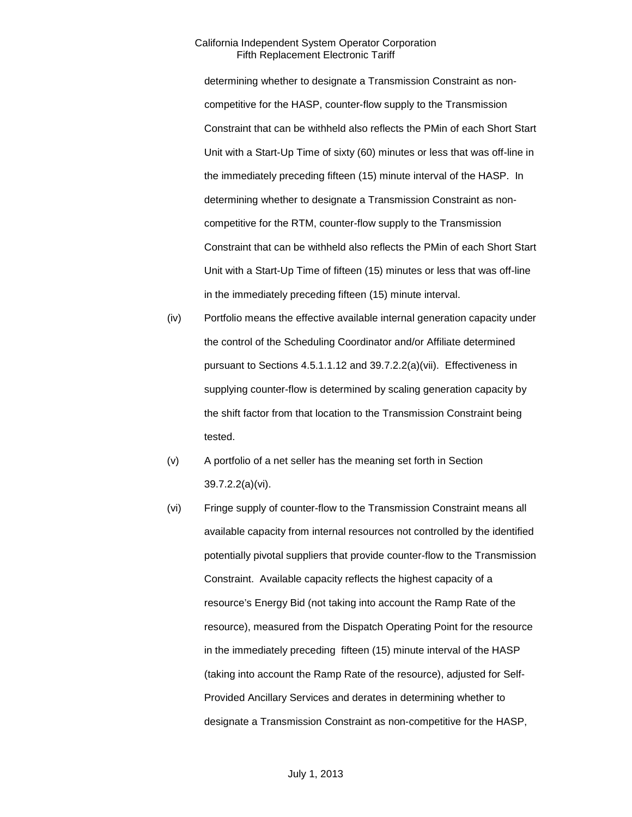determining whether to designate a Transmission Constraint as noncompetitive for the HASP, counter-flow supply to the Transmission Constraint that can be withheld also reflects the PMin of each Short Start Unit with a Start-Up Time of sixty (60) minutes or less that was off-line in the immediately preceding fifteen (15) minute interval of the HASP. In determining whether to designate a Transmission Constraint as noncompetitive for the RTM, counter-flow supply to the Transmission Constraint that can be withheld also reflects the PMin of each Short Start Unit with a Start-Up Time of fifteen (15) minutes or less that was off-line in the immediately preceding fifteen (15) minute interval.

- (iv) Portfolio means the effective available internal generation capacity under the control of the Scheduling Coordinator and/or Affiliate determined pursuant to Sections 4.5.1.1.12 and 39.7.2.2(a)(vii). Effectiveness in supplying counter-flow is determined by scaling generation capacity by the shift factor from that location to the Transmission Constraint being tested.
- (v) A portfolio of a net seller has the meaning set forth in Section 39.7.2.2(a)(vi).
- (vi) Fringe supply of counter-flow to the Transmission Constraint means all available capacity from internal resources not controlled by the identified potentially pivotal suppliers that provide counter-flow to the Transmission Constraint. Available capacity reflects the highest capacity of a resource's Energy Bid (not taking into account the Ramp Rate of the resource), measured from the Dispatch Operating Point for the resource in the immediately preceding fifteen (15) minute interval of the HASP (taking into account the Ramp Rate of the resource), adjusted for Self-Provided Ancillary Services and derates in determining whether to designate a Transmission Constraint as non-competitive for the HASP,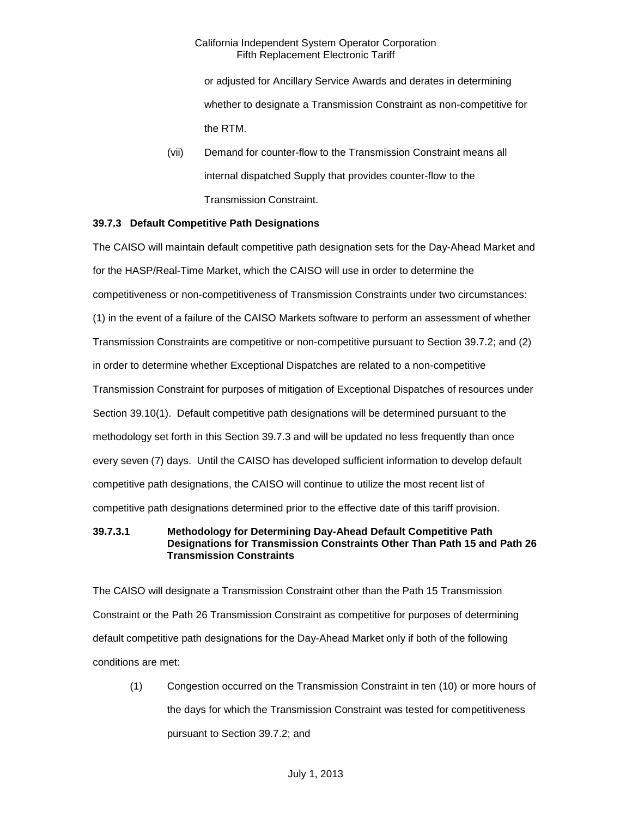or adjusted for Ancillary Service Awards and derates in determining whether to designate a Transmission Constraint as non-competitive for the RTM.

(vii) Demand for counter-flow to the Transmission Constraint means all internal dispatched Supply that provides counter-flow to the Transmission Constraint.

# <span id="page-19-0"></span>**39.7.3 Default Competitive Path Designations**

The CAISO will maintain default competitive path designation sets for the Day-Ahead Market and for the HASP/Real-Time Market, which the CAISO will use in order to determine the competitiveness or non-competitiveness of Transmission Constraints under two circumstances: (1) in the event of a failure of the CAISO Markets software to perform an assessment of whether Transmission Constraints are competitive or non-competitive pursuant to Section 39.7.2; and (2) in order to determine whether Exceptional Dispatches are related to a non-competitive Transmission Constraint for purposes of mitigation of Exceptional Dispatches of resources under Section 39.10(1). Default competitive path designations will be determined pursuant to the methodology set forth in this Section 39.7.3 and will be updated no less frequently than once every seven (7) days. Until the CAISO has developed sufficient information to develop default competitive path designations, the CAISO will continue to utilize the most recent list of competitive path designations determined prior to the effective date of this tariff provision.

# **39.7.3.1 Methodology for Determining Day-Ahead Default Competitive Path Designations for Transmission Constraints Other Than Path 15 and Path 26 Transmission Constraints**

The CAISO will designate a Transmission Constraint other than the Path 15 Transmission Constraint or the Path 26 Transmission Constraint as competitive for purposes of determining default competitive path designations for the Day-Ahead Market only if both of the following conditions are met:

(1) Congestion occurred on the Transmission Constraint in ten (10) or more hours of the days for which the Transmission Constraint was tested for competitiveness pursuant to Section 39.7.2; and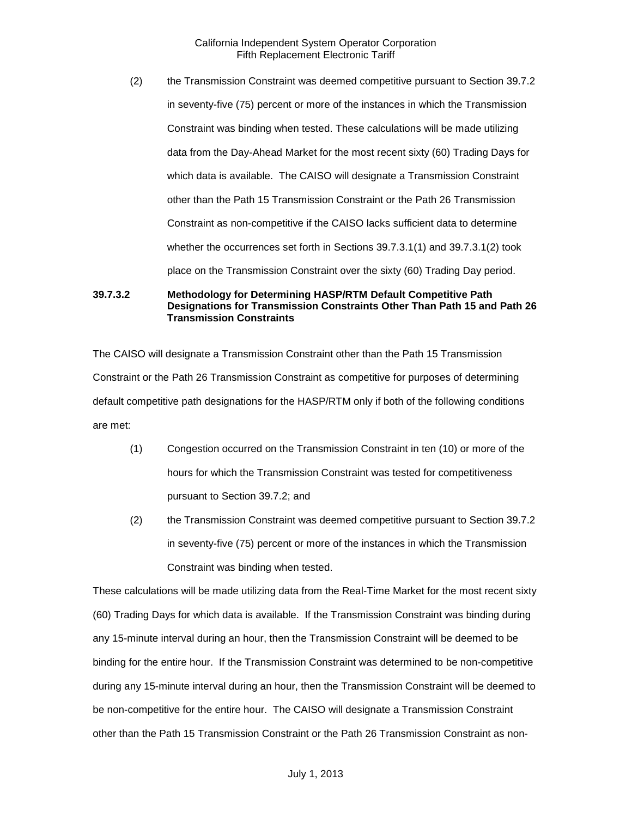(2) the Transmission Constraint was deemed competitive pursuant to Section 39.7.2 in seventy-five (75) percent or more of the instances in which the Transmission Constraint was binding when tested. These calculations will be made utilizing data from the Day-Ahead Market for the most recent sixty (60) Trading Days for which data is available. The CAISO will designate a Transmission Constraint other than the Path 15 Transmission Constraint or the Path 26 Transmission Constraint as non-competitive if the CAISO lacks sufficient data to determine whether the occurrences set forth in Sections 39.7.3.1(1) and 39.7.3.1(2) took place on the Transmission Constraint over the sixty (60) Trading Day period.

**39.7.3.2 Methodology for Determining HASP/RTM Default Competitive Path Designations for Transmission Constraints Other Than Path 15 and Path 26 Transmission Constraints**

The CAISO will designate a Transmission Constraint other than the Path 15 Transmission Constraint or the Path 26 Transmission Constraint as competitive for purposes of determining default competitive path designations for the HASP/RTM only if both of the following conditions are met:

- (1) Congestion occurred on the Transmission Constraint in ten (10) or more of the hours for which the Transmission Constraint was tested for competitiveness pursuant to Section 39.7.2; and
- (2) the Transmission Constraint was deemed competitive pursuant to Section 39.7.2 in seventy-five (75) percent or more of the instances in which the Transmission Constraint was binding when tested.

These calculations will be made utilizing data from the Real-Time Market for the most recent sixty (60) Trading Days for which data is available. If the Transmission Constraint was binding during any 15-minute interval during an hour, then the Transmission Constraint will be deemed to be binding for the entire hour. If the Transmission Constraint was determined to be non-competitive during any 15-minute interval during an hour, then the Transmission Constraint will be deemed to be non-competitive for the entire hour. The CAISO will designate a Transmission Constraint other than the Path 15 Transmission Constraint or the Path 26 Transmission Constraint as non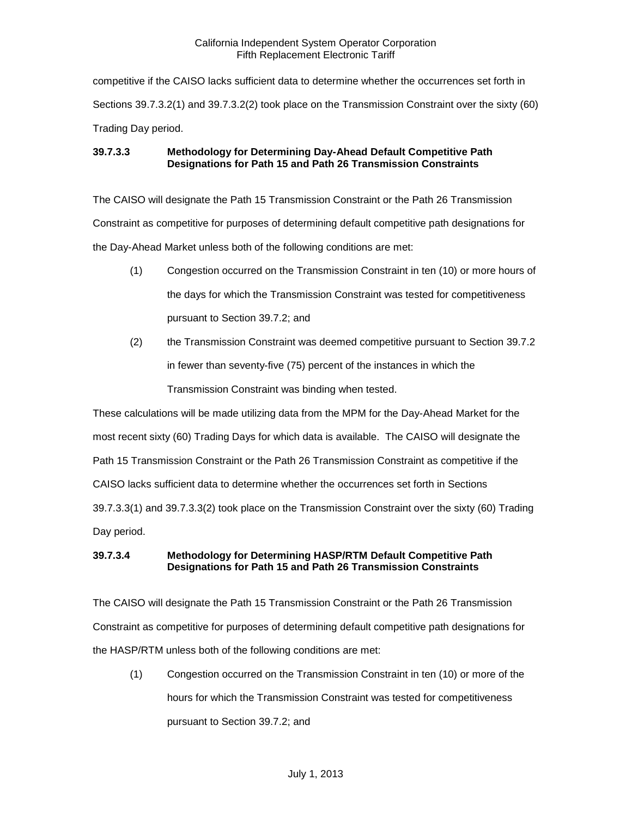competitive if the CAISO lacks sufficient data to determine whether the occurrences set forth in Sections 39.7.3.2(1) and 39.7.3.2(2) took place on the Transmission Constraint over the sixty (60) Trading Day period.

# **39.7.3.3 Methodology for Determining Day-Ahead Default Competitive Path Designations for Path 15 and Path 26 Transmission Constraints**

The CAISO will designate the Path 15 Transmission Constraint or the Path 26 Transmission Constraint as competitive for purposes of determining default competitive path designations for the Day-Ahead Market unless both of the following conditions are met:

- (1) Congestion occurred on the Transmission Constraint in ten (10) or more hours of the days for which the Transmission Constraint was tested for competitiveness pursuant to Section 39.7.2; and
- (2) the Transmission Constraint was deemed competitive pursuant to Section 39.7.2 in fewer than seventy-five (75) percent of the instances in which the

Transmission Constraint was binding when tested.

These calculations will be made utilizing data from the MPM for the Day-Ahead Market for the most recent sixty (60) Trading Days for which data is available. The CAISO will designate the Path 15 Transmission Constraint or the Path 26 Transmission Constraint as competitive if the CAISO lacks sufficient data to determine whether the occurrences set forth in Sections 39.7.3.3(1) and 39.7.3.3(2) took place on the Transmission Constraint over the sixty (60) Trading Day period.

# **39.7.3.4 Methodology for Determining HASP/RTM Default Competitive Path Designations for Path 15 and Path 26 Transmission Constraints**

The CAISO will designate the Path 15 Transmission Constraint or the Path 26 Transmission Constraint as competitive for purposes of determining default competitive path designations for the HASP/RTM unless both of the following conditions are met:

(1) Congestion occurred on the Transmission Constraint in ten (10) or more of the hours for which the Transmission Constraint was tested for competitiveness pursuant to Section 39.7.2; and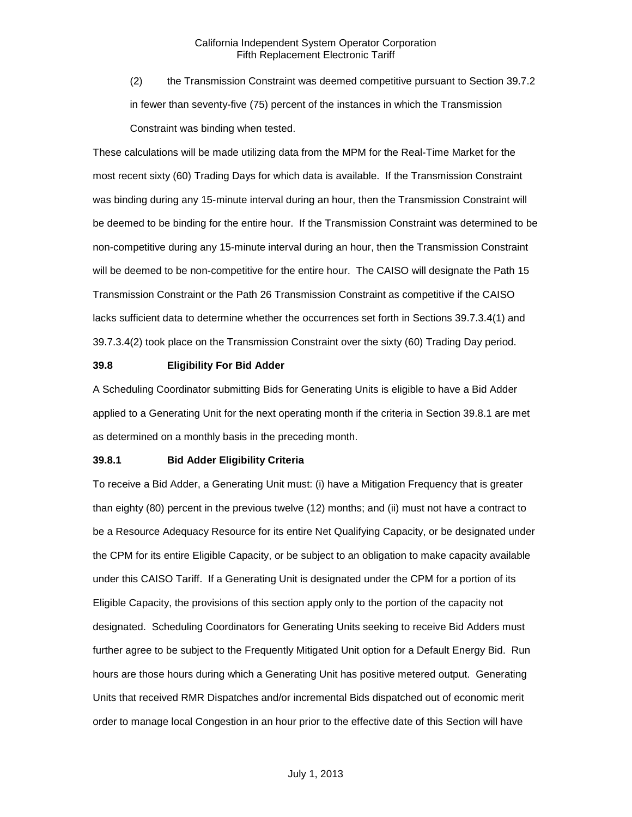(2) the Transmission Constraint was deemed competitive pursuant to Section 39.7.2 in fewer than seventy-five (75) percent of the instances in which the Transmission Constraint was binding when tested.

These calculations will be made utilizing data from the MPM for the Real-Time Market for the most recent sixty (60) Trading Days for which data is available. If the Transmission Constraint was binding during any 15-minute interval during an hour, then the Transmission Constraint will be deemed to be binding for the entire hour. If the Transmission Constraint was determined to be non-competitive during any 15-minute interval during an hour, then the Transmission Constraint will be deemed to be non-competitive for the entire hour. The CAISO will designate the Path 15 Transmission Constraint or the Path 26 Transmission Constraint as competitive if the CAISO lacks sufficient data to determine whether the occurrences set forth in Sections 39.7.3.4(1) and 39.7.3.4(2) took place on the Transmission Constraint over the sixty (60) Trading Day period.

#### <span id="page-22-0"></span>**39.8 Eligibility For Bid Adder**

A Scheduling Coordinator submitting Bids for Generating Units is eligible to have a Bid Adder applied to a Generating Unit for the next operating month if the criteria in Section 39.8.1 are met as determined on a monthly basis in the preceding month.

#### <span id="page-22-1"></span>**39.8.1 Bid Adder Eligibility Criteria**

To receive a Bid Adder, a Generating Unit must: (i) have a Mitigation Frequency that is greater than eighty (80) percent in the previous twelve (12) months; and (ii) must not have a contract to be a Resource Adequacy Resource for its entire Net Qualifying Capacity, or be designated under the CPM for its entire Eligible Capacity, or be subject to an obligation to make capacity available under this CAISO Tariff. If a Generating Unit is designated under the CPM for a portion of its Eligible Capacity, the provisions of this section apply only to the portion of the capacity not designated. Scheduling Coordinators for Generating Units seeking to receive Bid Adders must further agree to be subject to the Frequently Mitigated Unit option for a Default Energy Bid. Run hours are those hours during which a Generating Unit has positive metered output. Generating Units that received RMR Dispatches and/or incremental Bids dispatched out of economic merit order to manage local Congestion in an hour prior to the effective date of this Section will have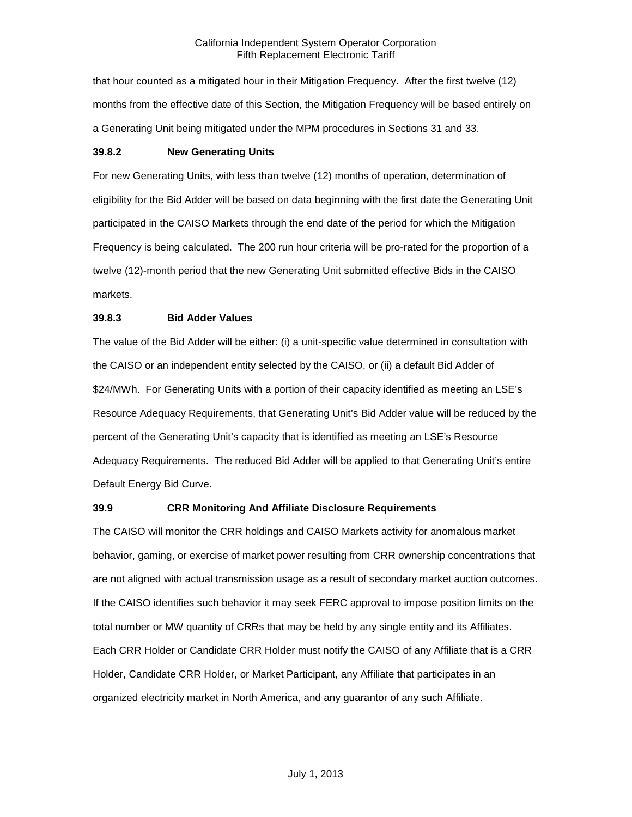that hour counted as a mitigated hour in their Mitigation Frequency. After the first twelve (12) months from the effective date of this Section, the Mitigation Frequency will be based entirely on a Generating Unit being mitigated under the MPM procedures in Sections 31 and 33.

## <span id="page-23-0"></span>**39.8.2 New Generating Units**

For new Generating Units, with less than twelve (12) months of operation, determination of eligibility for the Bid Adder will be based on data beginning with the first date the Generating Unit participated in the CAISO Markets through the end date of the period for which the Mitigation Frequency is being calculated. The 200 run hour criteria will be pro-rated for the proportion of a twelve (12)-month period that the new Generating Unit submitted effective Bids in the CAISO markets.

# <span id="page-23-1"></span>**39.8.3 Bid Adder Values**

The value of the Bid Adder will be either: (i) a unit-specific value determined in consultation with the CAISO or an independent entity selected by the CAISO, or (ii) a default Bid Adder of \$24/MWh. For Generating Units with a portion of their capacity identified as meeting an LSE's Resource Adequacy Requirements, that Generating Unit's Bid Adder value will be reduced by the percent of the Generating Unit's capacity that is identified as meeting an LSE's Resource Adequacy Requirements. The reduced Bid Adder will be applied to that Generating Unit's entire Default Energy Bid Curve.

# <span id="page-23-2"></span>**39.9 CRR Monitoring And Affiliate Disclosure Requirements**

The CAISO will monitor the CRR holdings and CAISO Markets activity for anomalous market behavior, gaming, or exercise of market power resulting from CRR ownership concentrations that are not aligned with actual transmission usage as a result of secondary market auction outcomes. If the CAISO identifies such behavior it may seek FERC approval to impose position limits on the total number or MW quantity of CRRs that may be held by any single entity and its Affiliates. Each CRR Holder or Candidate CRR Holder must notify the CAISO of any Affiliate that is a CRR Holder, Candidate CRR Holder, or Market Participant, any Affiliate that participates in an organized electricity market in North America, and any guarantor of any such Affiliate.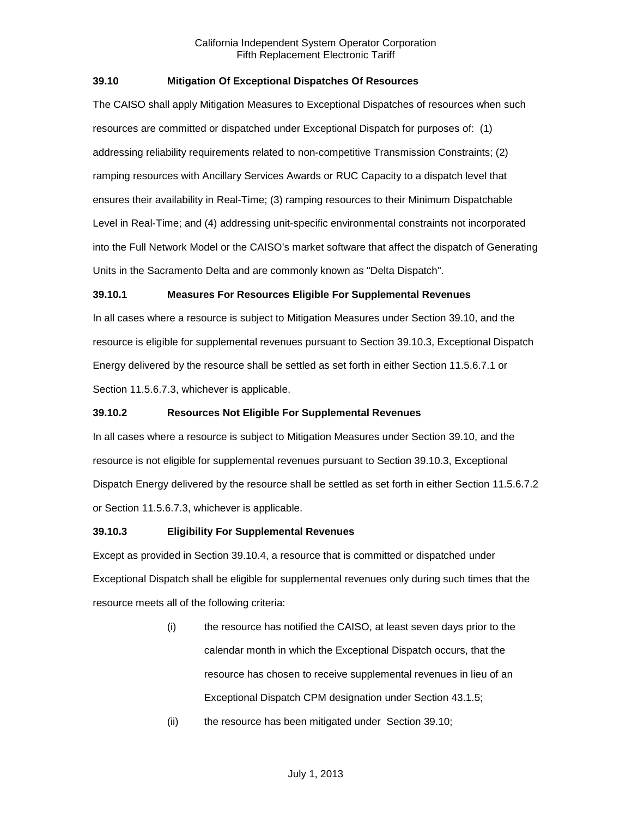# <span id="page-24-0"></span>**39.10 Mitigation Of Exceptional Dispatches Of Resources**

The CAISO shall apply Mitigation Measures to Exceptional Dispatches of resources when such resources are committed or dispatched under Exceptional Dispatch for purposes of: (1) addressing reliability requirements related to non-competitive Transmission Constraints; (2) ramping resources with Ancillary Services Awards or RUC Capacity to a dispatch level that ensures their availability in Real-Time; (3) ramping resources to their Minimum Dispatchable Level in Real-Time; and (4) addressing unit-specific environmental constraints not incorporated into the Full Network Model or the CAISO's market software that affect the dispatch of Generating Units in the Sacramento Delta and are commonly known as "Delta Dispatch".

# <span id="page-24-1"></span>**39.10.1 Measures For Resources Eligible For Supplemental Revenues**

In all cases where a resource is subject to Mitigation Measures under Section 39.10, and the resource is eligible for supplemental revenues pursuant to Section 39.10.3, Exceptional Dispatch Energy delivered by the resource shall be settled as set forth in either Section 11.5.6.7.1 or Section 11.5.6.7.3, whichever is applicable.

# <span id="page-24-2"></span>**39.10.2 Resources Not Eligible For Supplemental Revenues**

In all cases where a resource is subject to Mitigation Measures under Section 39.10, and the resource is not eligible for supplemental revenues pursuant to Section 39.10.3, Exceptional Dispatch Energy delivered by the resource shall be settled as set forth in either Section 11.5.6.7.2 or Section 11.5.6.7.3, whichever is applicable.

# <span id="page-24-3"></span>**39.10.3 Eligibility For Supplemental Revenues**

Except as provided in Section 39.10.4, a resource that is committed or dispatched under Exceptional Dispatch shall be eligible for supplemental revenues only during such times that the resource meets all of the following criteria:

- (i) the resource has notified the CAISO, at least seven days prior to the calendar month in which the Exceptional Dispatch occurs, that the resource has chosen to receive supplemental revenues in lieu of an Exceptional Dispatch CPM designation under Section 43.1.5;
- (ii) the resource has been mitigated under Section 39.10;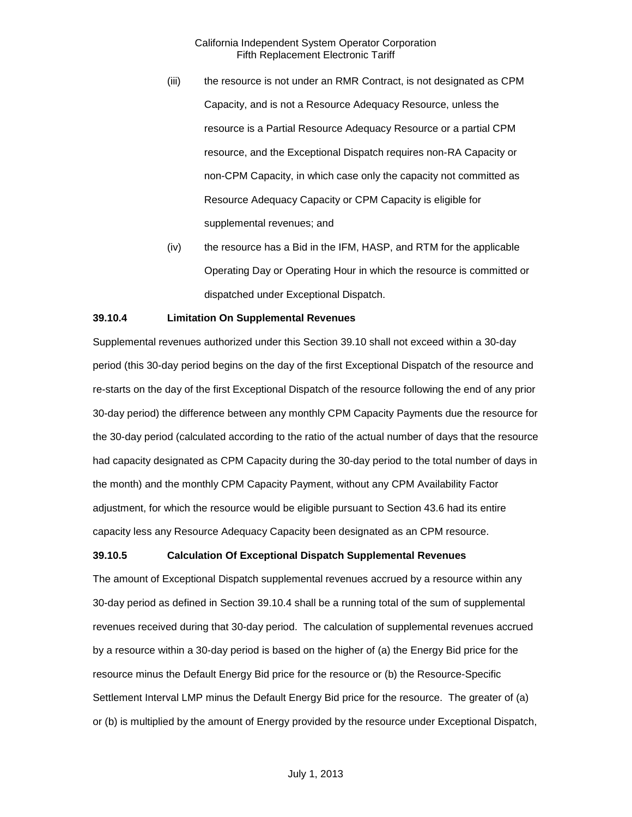- (iii) the resource is not under an RMR Contract, is not designated as CPM Capacity, and is not a Resource Adequacy Resource, unless the resource is a Partial Resource Adequacy Resource or a partial CPM resource, and the Exceptional Dispatch requires non-RA Capacity or non-CPM Capacity, in which case only the capacity not committed as Resource Adequacy Capacity or CPM Capacity is eligible for supplemental revenues; and
- (iv) the resource has a Bid in the IFM, HASP, and RTM for the applicable Operating Day or Operating Hour in which the resource is committed or dispatched under Exceptional Dispatch.

#### <span id="page-25-0"></span>**39.10.4 Limitation On Supplemental Revenues**

Supplemental revenues authorized under this Section 39.10 shall not exceed within a 30-day period (this 30-day period begins on the day of the first Exceptional Dispatch of the resource and re-starts on the day of the first Exceptional Dispatch of the resource following the end of any prior 30-day period) the difference between any monthly CPM Capacity Payments due the resource for the 30-day period (calculated according to the ratio of the actual number of days that the resource had capacity designated as CPM Capacity during the 30-day period to the total number of days in the month) and the monthly CPM Capacity Payment, without any CPM Availability Factor adjustment, for which the resource would be eligible pursuant to Section 43.6 had its entire capacity less any Resource Adequacy Capacity been designated as an CPM resource.

### <span id="page-25-1"></span>**39.10.5 Calculation Of Exceptional Dispatch Supplemental Revenues**

The amount of Exceptional Dispatch supplemental revenues accrued by a resource within any 30-day period as defined in Section 39.10.4 shall be a running total of the sum of supplemental revenues received during that 30-day period. The calculation of supplemental revenues accrued by a resource within a 30-day period is based on the higher of (a) the Energy Bid price for the resource minus the Default Energy Bid price for the resource or (b) the Resource-Specific Settlement Interval LMP minus the Default Energy Bid price for the resource. The greater of (a) or (b) is multiplied by the amount of Energy provided by the resource under Exceptional Dispatch,